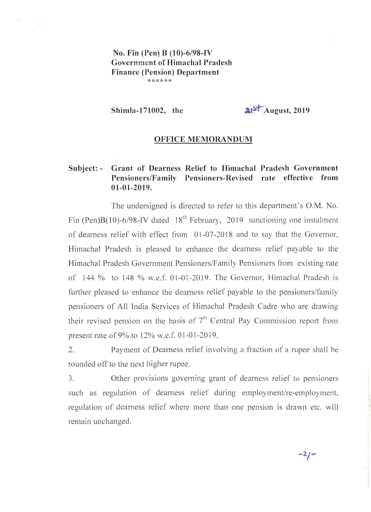**No. Fin (Pen) B (10)-6/98-IV Government of Himachal Pradesh Finance (Pension) Department \*\*\*\*\*\*** 

策

 $\sim$   $\sim$ 

Shimla-171002, the  $\frac{3!}{8!}$  August, 2019

## **OFFICE MEMORANDUM**

## **Subject: - Grant of Dearness Relief to Himachal Pradesh Government Pensioners/Family Pensioners-Revised rate effective from 01-01-2019.**

The undersigned is directed to refer to this department's O.M. No. Fin (Pen)B(10)-6/98-IV dated  $18^{th}$  February, 2019 sanctioning one instalment of dearness relief with effect from 01-07-2018 and to say that the Governor, Himachal Pradesh is pleased to enhance the dearness relief payable to the Himachal Pradesh Government Pensioners/Family Pensioners from existing rate of 144 % to 148 % w.e.f. 01-01-2019. The Governor, Himachal Pradesh is further pleased to enhance the dearness relief payable to the pensioners/family pensioners of All India Services of Himachal Pradesh Cadre who are drawing their revised pension on the basis of  $7<sup>th</sup>$  Central Pay Commission report from present rate of9% to 12% w.e.f. 01-01-2019.

2. Payment of Dearness relief involving a fraction of a rupee shall be rounded off to the next higher rupee.

3. Other provisions governing grant of dearness relief to pensioners such as regulation of dearness relief during employment/re-employment, regulation of dearness relief where more than one pension is drawn etc. will remain unchanged.

 $-2/-$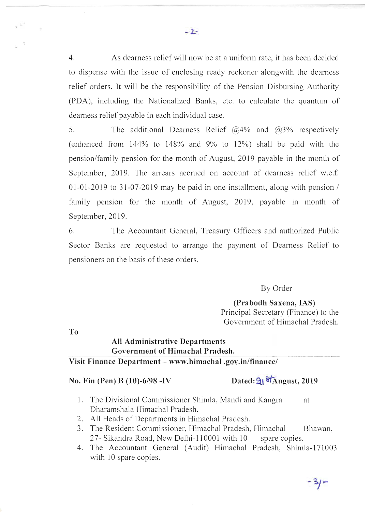4. As dearness relief will now be at a uniform rate, it has been decided to dispense with the issue of enclosing ready reckoner alongwith the dearness relief orders. It will be the responsibility of the Pension Disbursing Authority (PDA), including the Nationalized Banks, etc. to calculate the quantum of dearness relief payable in each individual case.

5. The additional Dearness Relief  $\omega$ 4% and  $\omega$ 3% respectively (enhanced from 144% to 148% and 9% to 12%) shall be paid with the pension/family pension for the month of August, 2019 payable in the month of September, 2019. The arrears accrued on account of dearness relief w.e.f. 01-01-2019 to 31-07-2019 may be paid in one installment, along with pension  $/$ family pension for the month of August, 2019, payable in month of September, 2019.

6. The Accountant General, Treasury Officers and authorized Public Sector Banks are requested to arrange the payment of Dearness Relief to pensioners on the basis of these orders.

By Order

(Prabodh Saxena, lAS) Principal Secretary (Finance) to the Government of Himachal Pradesh.

To

## All Administrative Departments Government of Himachal Pradesh. Visit Finance Department - www.himachal.gov.in/finance/

## No. Fin (Pen) B (10)-6/98 -IV Dated:  $91\frac{87}{\text{August}}$ , 2019

- 1. The Divisional Commissioner Shimla, Mandi and Kangra at Dharamshala Himachal Pradesh.
- 2. All Heads of Departments in Himachal Pradesh.
- 3. The Resident Commissioner, Himachal Pradesh, Himachal Bhawan, 27- Sikandra Road, New Delhi-110001 with 10 spare copies.
- 4. The Accountant General (Audit) Himachal Pradesh, Shimla-171003 with 10 spare copies.

 $-2-$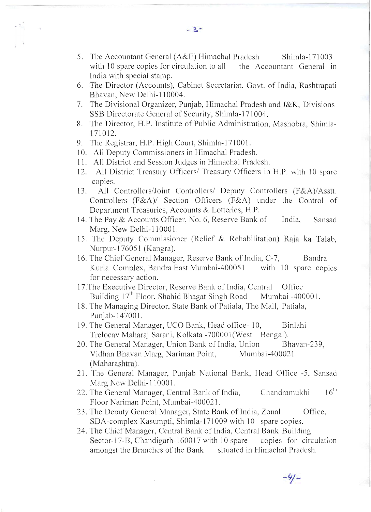- 5. The Accountant General (A&E) Himachal Pradesh Shimla-171003 with 10 spare copies for circulation to all the Accountant General in India with special stamp.
- 6. The Director (Accounts), Cabinet Secretariat, Govt. of India, Rashtrapati Bhavan, New Delhi-I 10004.
- 7. The Divisional Organizer, Punjab, Himachal Pradesh and J&K, Divisions SSB Directorate General of Security, Shimla-171004.
- 8. The Director, H.P. Institute of Public Administration, Mashobra, Shimla-171012.
- 9. The Registrar, H.P. High Court, Shimla-171001.
- 10. All Deputy Commissioners in Himachal Pradesh.
- 11. All District and Session Judges in Himachal Pradesh.
- 12. All District Treasury Officers/ Treasury Officers in H.P. with 10 spare copies.
- 13. All Controllers/Joint Controllers/ Deputy Controllers (F&A)/Asstt. Controllers (F&A)/ Section Officers (F&A) under the Control of Department Treasuries, Accounts & Lotteries, H.P.
- 14. The Pay & Accounts Officer, No. 6, Reserve Bank of India, Sansad Marg, New Delhi-110001.
- 15. The Deputy Commissioner (Relief & Rehabilitation) Raja ka Talab, Nurpur-I76051 (Kangra).
- 16. The Chief General Manager, Reserve Bank of India, C-7, Bandra Kurla Complex, Bandra East Mumbai-400051 with 10 spare copies for necessary action.
- 17.The Executive Director, Reserve Bank of India, Central Office Building  $17<sup>th</sup>$  Floor, Shahid Bhagat Singh Road Mumbai -400001.
- 18. The Managing Director, State Bank of Patiala, The Mall, Patiala, Punjab-147001.
- 19. The General Manager, UCO Bank, Head office-10, Binlahi Trelocav Maharaj Sarani, Kolkata -700001 (West Bengal).
- 20. The General Manager, Union Bank of India, Union Bhavan-239, Vidhan Bhavan Marg, Nariman Point, Mumbai-400021 (Maharashtra).
- 21. The General Manager, Punjab National Bank, Head Office -5, Sansad Marg New Delhi-110001.
- 22. The General Manager, Central Bank of India, Chandramukhi  $16^{th}$ Floor Nariman Point, Mumbai-400021.
- 23. The Deputy General Manager, State Bank of India, Zonal Office, SDA-complex Kasumpti, Shimla-171009 with 10 spare copies.
- 24. The Chief Manager, Central Bank of India, Central Bank Building Sector-17-B, Chandigarh-160017 with 10 spare copies for circulation amongst the Branches of the Bank situated in Himachal Pradesh.

**-1.-**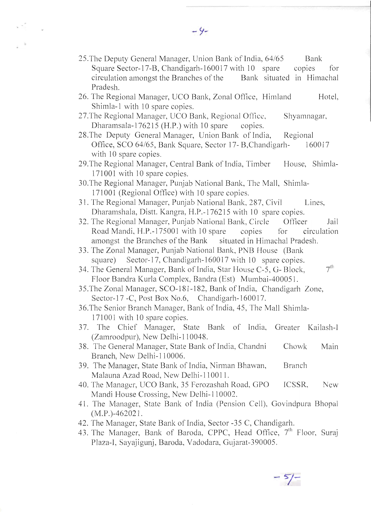- 25. The Deputy General Manager, Union Bank of India, 64/65 Bank Square Sector-17-B, Chandigarh-160017 with 10 spare copies for circulation amongst the Branches of the Bank situated in Himachal Pradesh.
- 26. The Regional Manager, UCO Bank, Zonal Office, Himland Hotel, Shimla-l with 10 spare copies.
- 27.The Regional Manager, UCO Bank, Regional Office, Shyamnagar, Dharamsala-176215 (H.P.) with 10 spare copies.
- 28.The Deputy General Manager, Union Bank of India, Regional Office, SCO 64/65, Bank Square, Sector 17- B,Chandigarh- 160017 with 10 spare copies.
- 29. The Regional Manager, Central Bank of India, Timber House, Shimla-171001 with 10 spare copies.
- 30.The Regional Manager, Punjab National Bank, The Mall, Shimla-171001 (Regional Office) with 10 spare copies.
- 31. The Regional Manager, Punjab National Bank, 287, Civil Lines, Dharamshala, Distt. Kangra, H.P.-176215 with 10 spare copies.
- 32. The Regional Manager, Punjab National Bank, Circle Officer Jail Road Mandi, H.P.-175001 with 10 spare copies for circulation amongst the Branches of the Bank situated in Himachal Pradesh.
- 33. The Zonal Manager, Punjab National Bank, PNB House (Bank square) Sector-17, Chandigarh-160017 with 10 spare copies.
- 34. The General Manager, Bank of India, Star House C-5, G- Block,  $7<sup>th</sup>$ Floor Bandra Kurla Complex, Bandra (Est) Mumbai-40005I .
- 35 .The Zonal Manager, SCO-181-182, Bank of India, Chandigarh Zone, Sector-17 -C, Post Box No.6, Chandigarh-160017.
- 36.The Senior Branch Manager, Bank of India, 45, The Mall Shimla-171001 with 10 spare copies.
- 37. The Chief Manager, State Bank of India, Greater Kailash-l (Zamroodpur), New Delhi-110048.
- 38. The General Manager, State Bank of India, Chandni Chowk Main Branch, New Delhi-110006.
- 39. The Manager, State Bank of India, Nirman Bhawan, Branch Malauna Azad Road, New Delhi-110011.
- 40. The Manager, UCO Bank, 35 Ferozashah Road, GPO ICSSR, New Mandi House Crossing, New Delhi-l 10002.
- 41. The Manager, State Bank of India (Pension Cell), Govindpura Bhopal (M.P.)-462021.
- 42. The Manager, State Bank of India, Sector -35 C, Chandigarh.
- 43. The Manager, Bank of Baroda, CPPC, Head Office, 7<sup>th</sup> Floor, Suraj Plaza-I, Sayajigunj, Baroda, Vadodara, Gujarat-390005.

 $-9-$ 

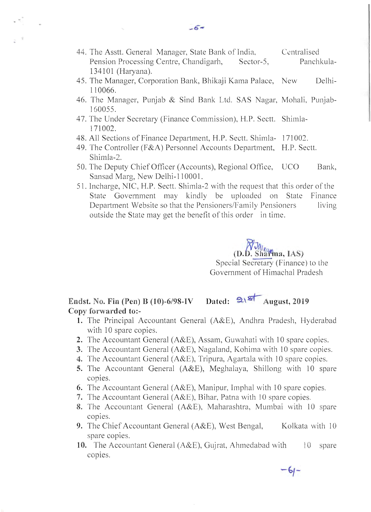- 44. The Asstt. General Manager, State Bank of India, Pension Processing Centre, Chandigarh, Sector-5, 134101 (Haryana). Centralised Panchkula-
- 45. The Manager, Corporation Bank, Bhikaji Kama Palace, 110066. Delhi-
- 46. The Manager, Punjab & Sind Bank Ltd. SAS Nagar, Mohali, Punjab-160055.
- 47. The Under Secretary (Finance Commission), H.P. Sectt. Shimla-171002.
- 48. All Sections of Finance Department, H.P. Sectt. Shimla- 171002.
- 49. The Controller (F&A) Personnel Accounts Department, H.P. Sectt. Shimla-2.
- 50. The Deputy Chief Officer (Accounts), Regional Office, UCO Bank, Sansad Marg, New Delhi-110001.
- 51. Incharge, NIC, H.P. Sectt. Shimla-2 with the request that this order of the State Government may kindly be uploaded on State Finance Department Website so that the Pensioners/Family Pensioners living outside the State may get the benefit of this order in time.

 $D.D.$  Sharma, *IAS*) Special Secretary (Finance) to the Government of Himachal Pradesh

 $-6 -$ 

**Endst.** No. Fin (Pen) B (10)-6/98-IV Dated:  $\frac{2\sqrt{5}}{2}$  August, 2019 **Copy forwarded to:-**

- 1. The Principal Accountant General (A&E), Andhra Pradesh, Hyderabad with 10 spare copies.
- **2.** The Accountant General (A&E), Assam, Guwahati with 10 spare copies.
- **3.** The Accountant General (A&E), Nagaland, Kohima with 10 spare copies.
- **4.** The Accountant General (A&E), Tripura, Agartala with 10 spare copies.
- **5.** The Accountant General (A&E), Meghalaya, Shillong with 10 spare copies.
- **6.** The Accountant General (A&E), Manipur, Imphal with 10 spare copies.
- **7.** The Accountant General (A&E), Bihar, Patna with 10 spare copies.
- **8.** The Accountant General (A&E), Maharashtra, Mumbai with 10 spare copies.
- **9.** The Chief Accountant General (A&E), West Bengal, Kolkata with 10 spare copies.
- **10.** The Accountant General (A&E), Gujrat, Ahmedabad with COpIes. 10 spare

 $-5 -$